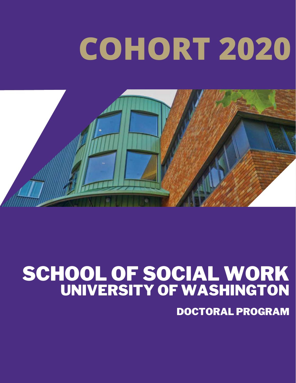# **COHORT 2020**



#### SCHOOL OF SOCIAL WORK UNIVERSITY OF WASHINGTON

DOCTORAL PROGRAM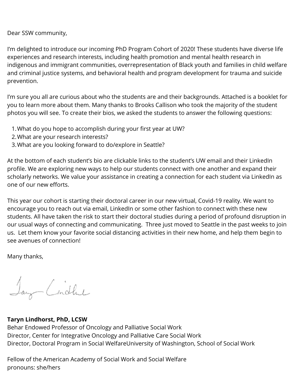Dear SSW community,

I'm delighted to introduce our incoming PhD Program Cohort of 2020! These students have diverse life experiences and research interests, including health promotion and mental health research in indigenous and immigrant communities, overrepresentation of Black youth and families in child welfare and criminal justice systems, and behavioral health and program development for trauma and suicide prevention.

I'm sure you all are curious about who the students are and their backgrounds. Attached is a booklet for you to learn more about them. Many thanks to Brooks Callison who took the majority of the student photos you will see. To create their bios, we asked the students to answer the following questions:

- What do you hope to accomplish during your first year at UW? 1.
- What are your research interests? 2.
- What are you looking forward to do/explore in Seattle? 3.

At the bottom of each student's bio are clickable links to the student's UW email and their LinkedIn profile. We are exploring new ways to help our students connect with one another and expand their scholarly networks. We value your assistance in creating a connection for each student via LinkedIn as one of our new efforts.

This year our cohort is starting their doctoral career in our new virtual, Covid-19 reality. We want to encourage you to reach out via email, LinkedIn or some other fashion to connect with these new students. All have taken the risk to start their doctoral studies during a period of profound disruption in our usual ways of connecting and communicating. Three just moved to Seattle in the past weeks to join us. Let them know your favorite social distancing activities in their new home, and help them begin to see avenues of connection!

Many thanks,

Say Cindhe

#### **Taryn Lindhorst, PhD, LCSW**

Behar Endowed Professor of Oncology and Palliative Social Work Director, Center for Integrative Oncology and Palliative Care Social Work Director, Doctoral Program in Social WelfareUniversity of Washington, School of Social Work

Fellow of the American Academy of Social Work and Social Welfare pronouns: she/hers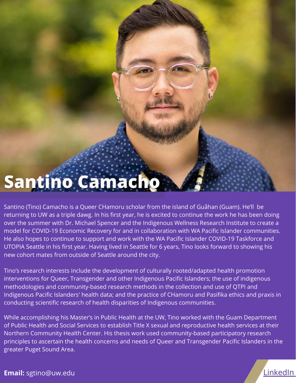## Santino Camacho

Santino (Tino) Camacho is a Queer CHamoru scholar from the island of Guåhan (Guam). He'll be returning to UW as a triple dawg. In his first year, he is excited to continue the work he has been doing over the summer with Dr. Michael Spencer and the Indigenous Wellness Research Institute to create a model for COVID-19 Economic Recovery for and in collaboration with WA Pacific Islander communities. He also hopes to continue to support and work with the WA Pacific Islander COVID-19 Taskforce and UTOPIA Seattle in his first year. Having lived in Seattle for 6 years, Tino looks forward to showing his new cohort mates from outside of Seattle around the city.

Tino's research interests include the development of culturally rooted/adapted health promotion interventions for Queer, Transgender and other Indigenous Pacific Islanders; the use of indigenous methodologies and community-based research methods in the collection and use of QTPI and Indigenous Pacific Islanders' health data; and the practice of CHamoru and Pasifika ethics and praxis in conducting scientific research of health disparities of Indigenous communities.

While accomplishing his Master's in Public Health at the UW, Tino worked with the Guam Department of Public Health and Social Services to establish Title X sexual and reproductive health services at their Northern Community Health Center. His thesis work used community-based participatory research principles to ascertain the health concerns and needs of Queer and Transgender Pacific Islanders in the greater Puget Sound Area.



**Email:** sgtino@uw.edu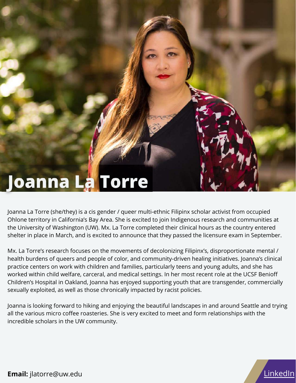## Joanna La Torre

Joanna La Torre (she/they) is a cis gender / queer multi-ethnic Filipinx scholar activist from occupied Ohlone territory in California's Bay Area. She is excited to join Indigenous research and communities at the University of Washington (UW). Mx. La Torre completed their clinical hours as the country entered shelter in place in March, and is excited to announce that they passed the licensure exam in September.

Mx. La Torre's research focuses on the movements of decolonizing Filipinx's, disproportionate mental / health burdens of queers and people of color, and community-driven healing initiatives. Joanna's clinical practice centers on work with children and families, particularly teens and young adults, and she has worked within child welfare, carceral, and medical settings. In her most recent role at the UCSF Benioff Children's Hospital in Oakland, Joanna has enjoyed supporting youth that are transgender, commercially sexually exploited, as well as those chronically impacted by racist policies.

Joanna is looking forward to hiking and enjoying the beautiful landscapes in and around Seattle and trying all the various micro coffee roasteries. She is very excited to meet and form relationships with the incredible scholars in the UW community.



**Email:** jlatorre@uw.edu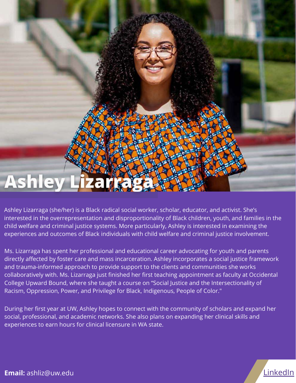## **Ashley L**

Ashley Lizarraga (she/her) is a Black radical social worker, scholar, educator, and activist. She's interested in the overrepresentation and disproportionality of Black children, youth, and families in the child welfare and criminal justice systems. More particularly, Ashley is interested in examining the experiences and outcomes of Black individuals with child welfare and criminal justice involvement.

Ms. Lizarraga has spent her professional and educational career advocating for youth and parents directly affected by foster care and mass incarceration. Ashley incorporates a social justice framework and trauma-informed approach to provide support to the clients and communities she works collaboratively with. Ms. Lizarraga just finished her first teaching appointment as faculty at Occidental College Upward Bound, where she taught a course on "Social Justice and the Intersectionality of Racism, Oppression, Power, and Privilege for Black, Indigenous, People of Color."

During her first year at UW, Ashley hopes to connect with the community of scholars and expand her social, professional, and academic networks. She also plans on expanding her clinical skills and experiences to earn hours for clinical licensure in WA state.



**Email:** ashliz@uw.edu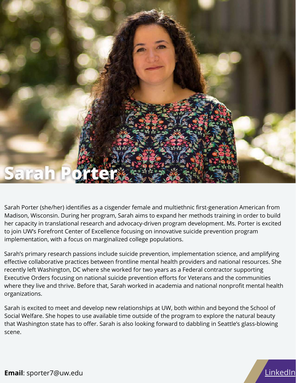

Sarah Porter (she/her) identifies as a cisgender female and multiethnic first-generation American from Madison, Wisconsin. During her program, Sarah aims to expand her methods training in order to build her capacity in translational research and advocacy-driven program development. Ms. Porter is excited to join UW's Forefront Center of Excellence focusing on innovative suicide prevention program implementation, with a focus on marginalized college populations.

Sarah's primary research passions include suicide prevention, implementation science, and amplifying effective collaborative practices between frontline mental health providers and national resources. She recently left Washington, DC where she worked for two years as a Federal contractor supporting Executive Orders focusing on national suicide prevention efforts for Veterans and the communities where they live and thrive. Before that, Sarah worked in academia and national nonprofit mental health organizations.

Sarah is excited to meet and develop new relationships at UW, both within and beyond the School of Social Welfare. She hopes to use available time outside of the program to explore the natural beauty that Washington state has to offer. Sarah is also looking forward to dabbling in Seattle's glass-blowing scene.



**Email**: sporter7@uw.edu